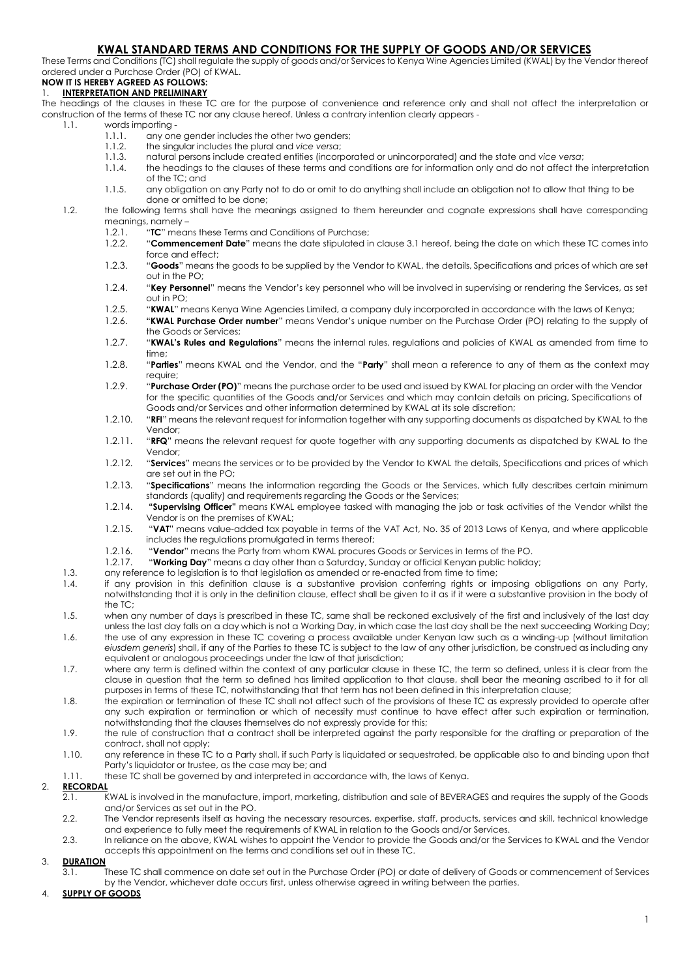# **KWAL STANDARD TERMS AND CONDITIONS FOR THE SUPPLY OF GOODS AND/OR SERVICES**

These Terms and Conditions (TC) shall regulate the supply of goods and/or Services to Kenya Wine Agencies Limited (KWAL) by the Vendor thereof ordered under a Purchase Order (PO) of KWAL.

#### **NOW IT IS HEREBY AGREED AS FOLLOWS:** 1. **INTERPRETATION AND PRELIMINARY**

The headings of the clauses in these TC are for the purpose of convenience and reference only and shall not affect the interpretation or construction of the terms of these TC nor any clause hereof. Unless a contrary intention clearly appears -

- 1.1. words importing -<br>1.1.1. any one
	- 1.1.1. any one gender includes the other two genders;<br>1.1.2. the sinaular includes the plural and vice versa:
	- 1.1.2. the singular includes the plural and *vice versa*;
	- 1.1.3. natural persons include created entities (incorporated or unincorporated) and the state and *vice versa*;
	- the headings to the clauses of these terms and conditions are for information only and do not affect the interpretation of the TC; and
	- 1.1.5. any obligation on any Party not to do or omit to do anything shall include an obligation not to allow that thing to be done or omitted to be done;

#### 1.2. the following terms shall have the meanings assigned to them hereunder and cognate expressions shall have corresponding meanings, namely –

- 1.2.1. "**TC**" means these Terms and Conditions of Purchase;
- 1.2.2. "**Commencement Date**" means the date stipulated in clause 3.1 hereof, being the date on which these TC comes into force and effect;
- 1.2.3. "**Goods**" means the goods to be supplied by the Vendor to KWAL, the details, Specifications and prices of which are set out in the PO;
- 1.2.4. "**Key Personnel**" means the Vendor's key personnel who will be involved in supervising or rendering the Services, as set out in PO;
- 1.2.5. "**KWAL**" means Kenya Wine Agencies Limited, a company duly incorporated in accordance with the laws of Kenya;
- 1.2.6. **"KWAL Purchase Order number**" means Vendor's unique number on the Purchase Order (PO) relating to the supply of the Goods or Services;
- 1.2.7. "**KWAL's Rules and Regulations**" means the internal rules, regulations and policies of KWAL as amended from time to time;
- 1.2.8. "**Parties**" means KWAL and the Vendor, and the "**Party**" shall mean a reference to any of them as the context may require;
- 1.2.9. "**Purchase Order (PO)**" means the purchase order to be used and issued by KWAL for placing an order with the Vendor for the specific quantities of the Goods and/or Services and which may contain details on pricing, Specifications of Goods and/or Services and other information determined by KWAL at its sole discretion;
- 1.2.10. "**RFI**" means the relevant request for information together with any supporting documents as dispatched by KWAL to the Vendor;
- 1.2.11. "**RFQ**" means the relevant request for quote together with any supporting documents as dispatched by KWAL to the Vendor;
- 1.2.12. "**Services**" means the services or to be provided by the Vendor to KWAL the details, Specifications and prices of which are set out in the PO;
- 1.2.13. "**Specifications**" means the information regarding the Goods or the Services, which fully describes certain minimum standards (quality) and requirements regarding the Goods or the Services;
- 1.2.14. **"Supervising Officer"** means KWAL employee tasked with managing the job or task activities of the Vendor whilst the Vendor is on the premises of KWAL;
- 1.2.15. "**VAT**" means value-added tax payable in terms of the VAT Act, No. 35 of 2013 Laws of Kenya, and where applicable includes the regulations promulgated in terms thereof;
- 1.2.16. "**Vendor**" means the Party from whom KWAL procures Goods or Services in terms of the PO.
- 1.2.17. "**Working Day**" means a day other than a Saturday, Sunday or official Kenyan public holiday;
- 1.3. any reference to legislation is to that legislation as amended or re-enacted from time to time;
- 1.4. if any provision in this definition clause is a substantive provision conferring rights or imposing obligations on any Party, notwithstanding that it is only in the definition clause, effect shall be given to it as if it were a substantive provision in the body of the  $TC$
- 1.5. when any number of days is prescribed in these TC, same shall be reckoned exclusively of the first and inclusively of the last day unless the last day falls on a day which is not a Working Day, in which case the last day shall be the next succeeding Working Day;

1.6. the use of any expression in these TC covering a process available under Kenyan law such as a winding-up (without limitation *eiusdem generis*) shall, if any of the Parties to these TC is subject to the law of any other jurisdiction, be construed as including any equivalent or analogous proceedings under the law of that jurisdiction;

- 1.7. where any term is defined within the context of any particular clause in these TC, the term so defined, unless it is clear from the clause in question that the term so defined has limited application to that clause, shall bear the meaning ascribed to it for all purposes in terms of these TC, notwithstanding that that term has not been defined in this interpretation clause;
- 1.8. the expiration or termination of these TC shall not affect such of the provisions of these TC as expressly provided to operate after any such expiration or termination or which of necessity must continue to have effect after such expiration or termination, notwithstanding that the clauses themselves do not expressly provide for this;
- 1.9. the rule of construction that a contract shall be interpreted against the party responsible for the drafting or preparation of the contract, shall not apply;
- 1.10. any reference in these TC to a Party shall, if such Party is liquidated or sequestrated, be applicable also to and binding upon that Party's liquidator or trustee, as the case may be; and
- 1.11. these TC shall be governed by and interpreted in accordance with, the laws of Kenya.

# 2. **RECORDAL**

- 2.1. KWAL is involved in the manufacture, import, marketing, distribution and sale of BEVERAGES and requires the supply of the Goods and/or Services as set out in the PO.
- 2.2. The Vendor represents itself as having the necessary resources, expertise, staff, products, services and skill, technical knowledge and experience to fully meet the requirements of KWAL in relation to the Goods and/or Services.
- 2.3. In reliance on the above, KWAL wishes to appoint the Vendor to provide the Goods and/or the Services to KWAL and the Vendor accepts this appointment on the terms and conditions set out in these TC.

# 3. **DURATION**

3.1. These TC shall commence on date set out in the Purchase Order (PO) or date of delivery of Goods or commencement of Services by the Vendor, whichever date occurs first, unless otherwise agreed in writing between the parties.

## 4. **SUPPLY OF GOODS**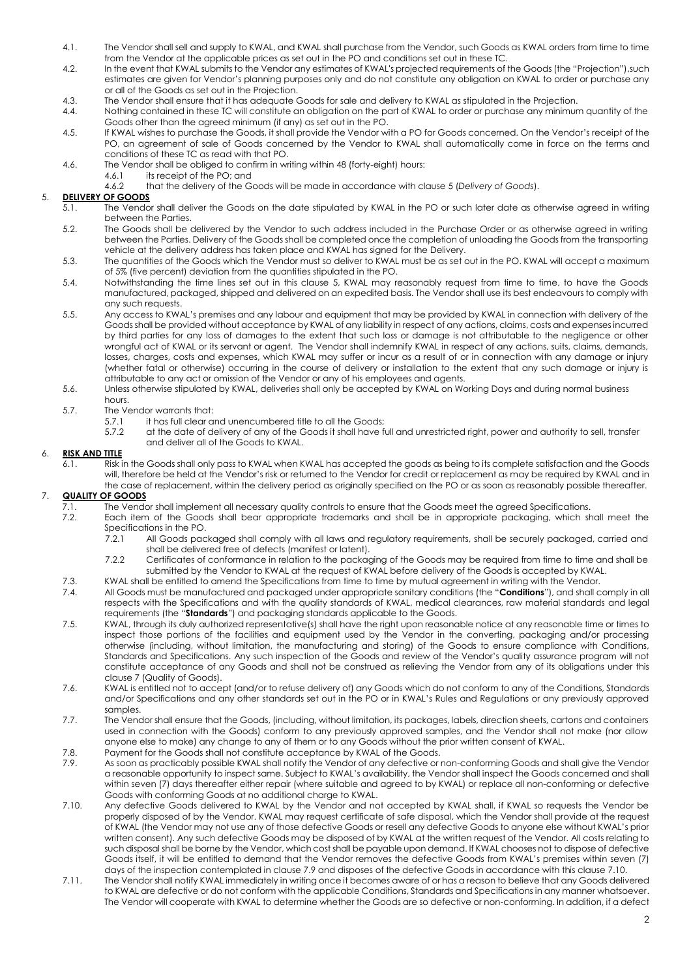- 4.1. The Vendor shall sell and supply to KWAL, and KWAL shall purchase from the Vendor, such Goods as KWAL orders from time to time from the Vendor at the applicable prices as set out in the PO and conditions set out in these TC.
- 4.2. In the event that KWAL submits to the Vendor any estimates of KWAL's projected requirements of the Goods (the "Projection"),such estimates are given for Vendor's planning purposes only and do not constitute any obligation on KWAL to order or purchase any or all of the Goods as set out in the Projection.
- 4.3. The Vendor shall ensure that it has adequate Goods for sale and delivery to KWAL as stipulated in the Projection.
- 4.4. Nothing contained in these TC will constitute an obligation on the part of KWAL to order or purchase any minimum quantity of the Goods other than the agreed minimum (if any) as set out in the PO.
- 4.5. If KWAL wishes to purchase the Goods, it shall provide the Vendor with a PO for Goods concerned. On the Vendor's receipt of the PO, an agreement of sale of Goods concerned by the Vendor to KWAL shall automatically come in force on the terms and conditions of these TC as read with that PO.
- 4.6. The Vendor shall be obliged to confirm in writing within 48 (forty-eight) hours:
	- 4.6.1 its receipt of the PO; and<br>4.6.2 that the delivery of the G
	- 4.6.2 that the delivery of the Goods will be made in accordance with clause [5 \(](#page-8-0)*Delivery of Goods*).

# 5. **DELIVERY OF GOODS**

- 5.1. The Vendor shall deliver the Goods on the date stipulated by KWAL in the PO or such later date as otherwise agreed in writing between the Parties.
- 5.2. The Goods shall be delivered by the Vendor to such address included in the Purchase Order or as otherwise agreed in writing between the Parties. Delivery of the Goods shall be completed once the completion of unloading the Goods from the transporting vehicle at the delivery address has taken place and KWAL has signed for the Delivery.
- 5.3. The quantities of the Goods which the Vendor must so deliver to KWAL must be as set out in the PO. KWAL will accept a maximum of 5% (five percent) deviation from the quantities stipulated in the PO.
- 5.4. Notwithstanding the time lines set out in this clause [5, K](#page-8-0)WAL may reasonably request from time to time, to have the Goods manufactured, packaged, shipped and delivered on an expedited basis. The Vendor shall use its best endeavours to comply with any such requests.
- 5.5. Any access to KWAL's premises and any labour and equipment that may be provided by KWAL in connection with delivery of the Goods shall be provided without acceptance by KWAL of any liability in respect of any actions, claims, costs and expenses incurred by third parties for any loss of damages to the extent that such loss or damage is not attributable to the negligence or other wrongful act of KWAL or its servant or agent. The Vendor shall indemnify KWAL in respect of any actions, suits, claims, demands, losses, charges, costs and expenses, which KWAL may suffer or incur as a result of or in connection with any damage or injury (whether fatal or otherwise) occurring in the course of delivery or installation to the extent that any such damage or injury is attributable to any act or omission of the Vendor or any of his employees and agents.
- 5.6. Unless otherwise stipulated by KWAL, deliveries shall only be accepted by KWAL on Working Days and during normal business hours.
- 5.7. The Vendor warrants that:<br>5.7.1 it has full clear a
	- it has full clear and unencumbered title to all the Goods;
	- 5.7.2 at the date of delivery of any of the Goods it shall have full and unrestricted right, power and authority to sell, transfer and deliver all of the Goods to KWAL.

# 6. **RISK AND TITLE**

6.1. Risk in the Goods shall only pass to KWAL when KWAL has accepted the goods as being to its complete satisfaction and the Goods will, therefore be held at the Vendor's risk or returned to the Vendor for credit or replacement as may be required by KWAL and in the case of replacement, within the delivery period as originally specified on the PO or as soon as reasonably possible thereafter.

# 7. **QUALITY OF GOODS**

- 7.1. The Vendor shall implement all necessary quality controls to ensure that the Goods meet the agreed Specifications.<br>7.2. Each item of the Goods shall bear appropriate trademarks and shall be in appropriate packaaina, w
	- Each item of the Goods shall bear appropriate trademarks and shall be in appropriate packaging, which shall meet the Specifications in the PO.<br>7.2.1 All Goods pac
		- All Goods packaged shall comply with all laws and regulatory requirements, shall be securely packaged, carried and shall be delivered free of defects (manifest or latent).
		- 7.2.2 Certificates of conformance in relation to the packaging of the Goods may be required from time to time and shall be submitted by the Vendor to KWAL at the request of KWAL before delivery of the Goods is accepted by KWAL.
- 7.3. KWAL shall be entitled to amend the Specifications from time to time by mutual agreement in writing with the Vendor.
- 7.4. All Goods must be manufactured and packaged under appropriate sanitary conditions (the "**Conditions**"), and shall comply in all respects with the Specifications and with the quality standards of KWAL, medical clearances, raw material standards and legal requirements (the "**Standards**") and packaging standards applicable to the Goods.
- 7.5. KWAL, through its duly authorized representative(s) shall have the right upon reasonable notice at any reasonable time or times to inspect those portions of the facilities and equipment used by the Vendor in the converting, packaging and/or processing otherwise (including, without limitation, the manufacturing and storing) of the Goods to ensure compliance with Conditions, Standards and Specifications. Any such inspection of the Goods and review of the Vendor's quality assurance program will not constitute acceptance of any Goods and shall not be construed as relieving the Vendor from any of its obligations under this claus[e 7 \(](#page-8-0)Quality of Goods).
- 7.6. KWAL is entitled not to accept (and/or to refuse delivery of) any Goods which do not conform to any of the Conditions, Standards and/or Specifications and any other standards set out in the PO or in KWAL's Rules and Regulations or any previously approved samples.
- 7.7. The Vendor shall ensure that the Goods, (including, without limitation, its packages, labels, direction sheets, cartons and containers used in connection with the Goods) conform to any previously approved samples, and the Vendor shall not make (nor allow anyone else to make) any change to any of them or to any Goods without the prior written consent of KWAL.
- 7.8. Payment for the Goods shall not constitute acceptance by KWAL of the Goods.
- 7.9. As soon as practicably possible KWAL shall notify the Vendor of any defective or non-conforming Goods and shall give the Vendor a reasonable opportunity to inspect same. Subject to KWAL's availability, the Vendor shall inspect the Goods concerned and shall within seven (7) days thereafter either repair (where suitable and agreed to by KWAL) or replace all non-conforming or defective Goods with conforming Goods at no additional charge to KWAL.
- 7.10. Any defective Goods delivered to KWAL by the Vendor and not accepted by KWAL shall, if KWAL so requests the Vendor be properly disposed of by the Vendor. KWAL may request certificate of safe disposal, which the Vendor shall provide at the request of KWAL (the Vendor may not use any of those defective Goods or resell any defective Goods to anyone else without KWAL's prior written consent). Any such defective Goods may be disposed of by KWAL at the written request of the Vendor. All costs relating to such disposal shall be borne by the Vendor, which cost shall be payable upon demand. If KWAL chooses not to dispose of defective Goods itself, it will be entitled to demand that the Vendor removes the defective Goods from KWAL's premises within seven (7) days of the inspection contemplated in claus[e 7.9 a](#page-8-0)nd disposes of the defective Goods in accordance with this claus[e 7.10.](#page-8-0)
- 7.11. The Vendor shall notify KWAL immediately in writing once it becomes aware of or has a reason to believe that any Goods delivered to KWAL are defective or do not conform with the applicable Conditions, Standards and Specifications in any manner whatsoever. The Vendor will cooperate with KWAL to determine whether the Goods are so defective or non-conforming. In addition, if a defect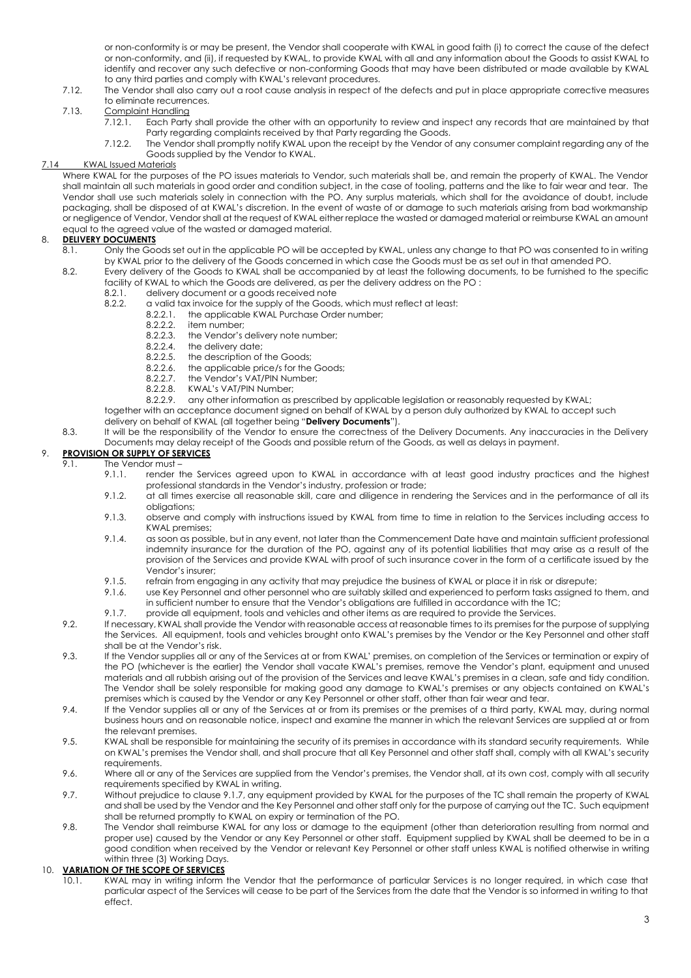or non-conformity is or may be present, the Vendor shall cooperate with KWAL in good faith (i) to correct the cause of the defect or non-conformity, and (ii), if requested by KWAL, to provide KWAL with all and any information about the Goods to assist KWAL to identify and recover any such defective or non-conforming Goods that may have been distributed or made available by KWAL to any third parties and comply with KWAL's relevant procedures.

- 7.12. The Vendor shall also carry out a root cause analysis in respect of the defects and put in place appropriate corrective measures to eliminate recurrences.
- 7.13. Complaint Handling<br>7.12.1. Each Party
	- Each Party shall provide the other with an opportunity to review and inspect any records that are maintained by that Party regarding complaints received by that Party regarding the Goods.
	- 7.12.2. The Vendor shall promptly notify KWAL upon the receipt by the Vendor of any consumer complaint regarding any of the Goods supplied by the Vendor to KWAL.

## 7.14 KWAL Issued Materials

Where KWAL for the purposes of the PO issues materials to Vendor, such materials shall be, and remain the property of KWAL. The Vendor shall maintain all such materials in good order and condition subject, in the case of tooling, patterns and the like to fair wear and tear. The Vendor shall use such materials solely in connection with the PO. Any surplus materials, which shall for the avoidance of doubt, include packaging, shall be disposed of at KWAL's discretion. In the event of waste of or damage to such materials arising from bad workmanship or negligence of Vendor, Vendor shall at the request of KWAL either replace the wasted or damaged material or reimburse KWAL an amount equal to the agreed value of the wasted or damaged material.

## 8. **DELIVERY DOCUMENTS**

- 8.1. Only the Goods set out in the applicable PO will be accepted by KWAL, unless any change to that PO was consented to in writing by KWAL prior to the delivery of the Goods concerned in which case the Goods must be as set out in that amended PO.
- 8.2. Every delivery of the Goods to KWAL shall be accompanied by at least the following documents, to be furnished to the specific facility of KWAL to which the Goods are delivered, as per the delivery address on the PO :<br>8.2.1. delivery document or a goods received note
	- 8.2.1. delivery document or a goods received note<br>8.2.2. a valid tax invoice for the supply of the Goods
		- a valid tax invoice for the supply of the Goods, which must reflect at least:<br>8.2.2.1 the applicable KWAL Purchase Order number:
			- 8.2.2.1. the applicable KWAL Purchase Order number;<br>8.2.2.2. item number:
				- 8.2.2.2. item number;<br>8.2.2.3. the Vendor's
				- the Vendor's delivery note number;
				- 8.2.2.4. the delivery date;
				- 8.2.2.5. the description of the Goods;<br>8.2.2.6. the applicable price/s for the
				- 8.2.2.6. the applicable price/s for the Goods;<br>8.2.2.7. the Vendor's VAT/PIN Number;
				- the Vendor's VAT/PIN Number;
				-
		- 8.2.2.8. KWAL's VAT/PIN Number;<br>8.2.2.9. any other information as i any other information as prescribed by applicable legislation or reasonably requested by KWAL;
	- together with an acceptance document signed on behalf of KWAL by a person duly authorized by KWAL to accept such delivery on behalf of KWAL (all together being "**Delivery Documents**").
- 8.3. It will be the responsibility of the Vendor to ensure the correctness of the Delivery Documents. Any inaccuracies in the Delivery Documents may delay receipt of the Goods and possible return of the Goods, as well as delays in payment.

# 9. **PROVISION OR SUPPLY OF SERVICES**

- 9.1. The Vendor must
	- 9.1.1. render the Services agreed upon to KWAL in accordance with at least good industry practices and the highest professional standards in the Vendor's industry, profession or trade;
	- 9.1.2. at all times exercise all reasonable skill, care and diligence in rendering the Services and in the performance of all its obligations;
	- 9.1.3. observe and comply with instructions issued by KWAL from time to time in relation to the Services including access to KWAL premises;
	- 9.1.4. as soon as possible, but in any event, not later than the Commencement Date have and maintain sufficient professional indemnity insurance for the duration of the PO, against any of its potential liabilities that may arise as a result of the provision of the Services and provide KWAL with proof of such insurance cover in the form of a certificate issued by the Vendor's insurer;
	- 9.1.5. refrain from engaging in any activity that may prejudice the business of KWAL or place it in risk or disrepute;
	- 9.1.6. use Key Personnel and other personnel who are suitably skilled and experienced to perform tasks assigned to them, and in sufficient number to ensure that the Vendor's obligations are fulfilled in accordance with the TC;
	- 9.1.7. provide all equipment, tools and vehicles and other items as are required to provide the Services.
- 9.2. If necessary, KWAL shall provide the Vendor with reasonable access at reasonable times to its premises for the purpose of supplying the Services. All equipment, tools and vehicles brought onto KWAL's premises by the Vendor or the Key Personnel and other staff shall be at the Vendor's risk.
- 9.3. If the Vendor supplies all or any of the Services at or from KWAL' premises, on completion of the Services or termination or expiry of the PO (whichever is the earlier) the Vendor shall vacate KWAL's premises, remove the Vendor's plant, equipment and unused materials and all rubbish arising out of the provision of the Services and leave KWAL's premises in a clean, safe and tidy condition. The Vendor shall be solely responsible for making good any damage to KWAL's premises or any objects contained on KWAL's premises which is caused by the Vendor or any Key Personnel or other staff, other than fair wear and tear.
- 9.4. If the Vendor supplies all or any of the Services at or from its premises or the premises of a third party, KWAL may, during normal business hours and on reasonable notice, inspect and examine the manner in which the relevant Services are supplied at or from the relevant premises.
- 9.5. KWAL shall be responsible for maintaining the security of its premises in accordance with its standard security requirements. While on KWAL's premises the Vendor shall, and shall procure that all Key Personnel and other staff shall, comply with all KWAL's security requirements.
- 9.6. Where all or any of the Services are supplied from the Vendor's premises, the Vendor shall, at its own cost, comply with all security requirements specified by KWAL in writing.
- 9.7. Without prejudice to clause 9.1.7, any equipment provided by KWAL for the purposes of the TC shall remain the property of KWAL and shall be used by the Vendor and the Key Personnel and other staff only for the purpose of carrying out the TC. Such equipment shall be returned promptly to KWAL on expiry or termination of the PO.
- 9.8. The Vendor shall reimburse KWAL for any loss or damage to the equipment (other than deterioration resulting from normal and proper use) caused by the Vendor or any Key Personnel or other staff. Equipment supplied by KWAL shall be deemed to be in a good condition when received by the Vendor or relevant Key Personnel or other staff unless KWAL is notified otherwise in writing within three (3) Working Days.

# 10. **VARIATION OF THE SCOPE OF SERVICES**

10.1. KWAL may in writing inform the Vendor that the performance of particular Services is no longer required, in which case that particular aspect of the Services will cease to be part of the Services from the date that the Vendor is so informed in writing to that effect.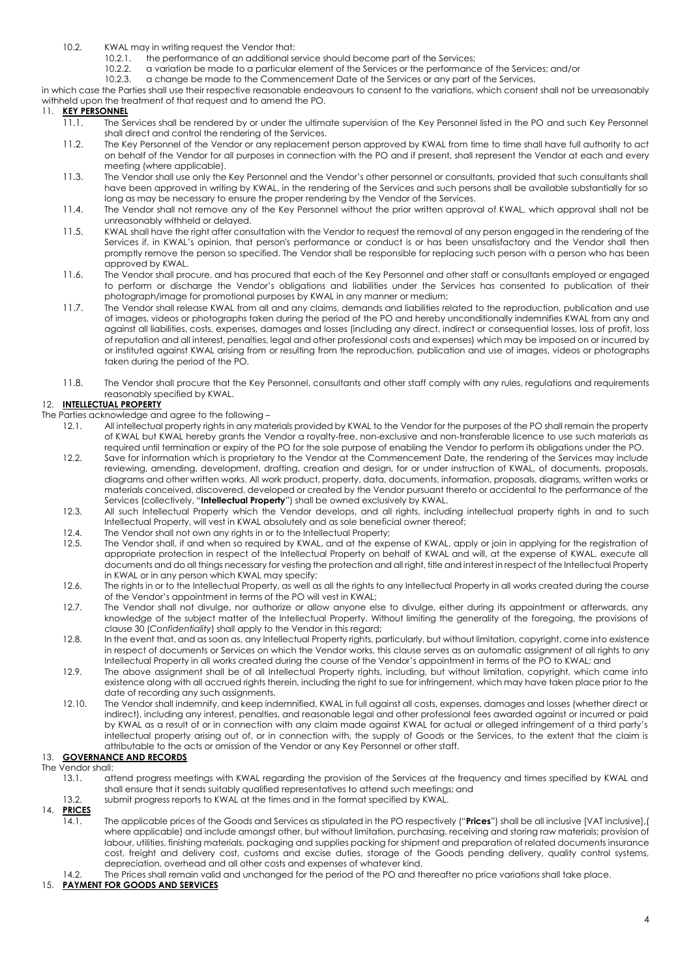- 10.2. KWAL may in writing request the Vendor that:<br>10.2.1. the performance of an additional set
	- 10.2.1. the performance of an additional service should become part of the Services;<br>10.2.2. a variation be made to a particular element of the Services or the performanc
	- 10.2.2. a variation be made to a particular element of the Services or the performance of the Services; and/or<br>10.2.3. a change be made to the Commencement Date of the Services or any part of the Services.
	- a change be made to the Commencement Date of the Services or any part of the Services,

in which case the Parties shall use their respective reasonable endeavours to consent to the variations, which consent shall not be unreasonably withheld upon the treatment of that request and to amend the PO.

# 11. **KEY PERSONNEL**

- 11.1. The Services shall be rendered by or under the ultimate supervision of the Key Personnel listed in the PO and such Key Personnel shall direct and control the rendering of the Services.
- 11.2. The Key Personnel of the Vendor or any replacement person approved by KWAL from time to time shall have full authority to act on behalf of the Vendor for all purposes in connection with the PO and if present, shall represent the Vendor at each and every meeting (where applicable).
- 11.3. The Vendor shall use only the Key Personnel and the Vendor's other personnel or consultants, provided that such consultants shall have been approved in writing by KWAL, in the rendering of the Services and such persons shall be available substantially for so long as may be necessary to ensure the proper rendering by the Vendor of the Services.
- 11.4. The Vendor shall not remove any of the Key Personnel without the prior written approval of KWAL, which approval shall not be unreasonably withheld or delayed.
- 11.5. KWAL shall have the right after consultation with the Vendor to request the removal of any person engaged in the rendering of the Services if, in KWAL's opinion, that person's performance or conduct is or has been unsatisfactory and the Vendor shall then promptly remove the person so specified. The Vendor shall be responsible for replacing such person with a person who has been approved by KWAL.
- 11.6. The Vendor shall procure, and has procured that each of the Key Personnel and other staff or consultants employed or engaged to perform or discharge the Vendor's obligations and liabilities under the Services has consented to publication of their photograph/image for promotional purposes by KWAL in any manner or medium;
- 11.7. The Vendor shall release KWAL from all and any claims, demands and liabilities related to the reproduction, publication and use of images, videos or photographs taken during the period of the PO and hereby unconditionally indemnifies KWAL from any and against all liabilities, costs, expenses, damages and losses (including any direct, indirect or consequential losses, loss of profit, loss of reputation and all interest, penalties, legal and other professional costs and expenses) which may be imposed on or incurred by or instituted against KWAL arising from or resulting from the reproduction, publication and use of images, videos or photographs taken during the period of the PO.
- 11.8. The Vendor shall procure that the Key Personnel, consultants and other staff comply with any rules, regulations and requirements reasonably specified by KWAL.

# 12. **INTELLECTUAL PROPERTY**

- The Parties acknowledge and agree to the following
	- 12.1. All intellectual property rights in any materials provided by KWAL to the Vendor for the purposes of the PO shall remain the property of KWAL but KWAL hereby grants the Vendor a royalty-free, non-exclusive and non-transferable licence to use such materials as required until termination or expiry of the PO for the sole purpose of enabling the Vendor to perform its obligations under the PO.
	- 12.2. Save for information which is proprietary to the Vendor at the Commencement Date, the rendering of the Services may include reviewing, amending, development, drafting, creation and design, for or under instruction of KWAL, of documents, proposals, diagrams and other written works. All work product, property, data, documents, information, proposals, diagrams, written works or materials conceived, discovered, developed or created by the Vendor pursuant thereto or accidental to the performance of the Services (collectively, "**Intellectual Property**") shall be owned exclusively by KWAL.
	- 12.3. All such Intellectual Property which the Vendor develops, and all rights, including intellectual property rights in and to such Intellectual Property, will vest in KWAL absolutely and as sole beneficial owner thereof;
	- 12.4. The Vendor shall not own any rights in or to the Intellectual Property:
	- 12.5. The Vendor shall, if and when so required by KWAL, and at the expense of KWAL, apply or join in applying for the registration of appropriate protection in respect of the Intellectual Property on behalf of KWAL and will, at the expense of KWAL, execute all documents and do all things necessary for vesting the protection and all right, title and interest in respect of the Intellectual Property in KWAL or in any person which KWAL may specify;
	- 12.6. The rights in or to the Intellectual Property, as well as all the rights to any Intellectual Property in all works created during the course of the Vendor's appointment in terms of the PO will vest in KWAL;
	- 12.7. The Vendor shall not divulge, nor authorize or allow anyone else to divulge, either during its appointment or afterwards, any knowledge of the subject matter of the Intellectual Property. Without limiting the generality of the foregoing, the provisions of clause 30 (*Confidentiality*) shall apply to the Vendor in this regard;
	- 12.8. In the event that, and as soon as, any Intellectual Property rights, particularly, but without limitation, copyright, come into existence in respect of documents or Services on which the Vendor works, this clause serves as an automatic assignment of all rights to any Intellectual Property in all works created during the course of the Vendor's appointment in terms of the PO to KWAL; and
	- 12.9. The above assignment shall be of all Intellectual Property rights, including, but without limitation, copyright, which came into existence along with all accrued rights therein, including the right to sue for infringement, which may have taken place prior to the date of recording any such assignments.
	- 12.10. The Vendor shall indemnify, and keep indemnified, KWAL in full against all costs, expenses, damages and losses (whether direct or indirect), including any interest, penalties, and reasonable legal and other professional fees awarded against or incurred or paid by KWAL as a result of or in connection with any claim made against KWAL for actual or alleged infringement of a third party's intellectual property arising out of, or in connection with, the supply of Goods or the Services, to the extent that the claim is attributable to the acts or omission of the Vendor or any Key Personnel or other staff.

# 13. **GOVERNANCE AND RECORDS**

- The Vendor shall:
	- 13.1. attend progress meetings with KWAL regarding the provision of the Services at the frequency and times specified by KWAL and shall ensure that it sends suitably qualified representatives to attend such meetings; and
	- 13.2. submit progress reports to KWAL at the times and in the format specified by KWAL.

# 14. **PRICES**

- 14.1. The applicable prices of the Goods and Services as stipulated in the PO respectively ("**Prices**") shall be all inclusive [VAT inclusive],( where applicable) and include amongst other, but without limitation, purchasing, receiving and storing raw materials; provision of labour, utilities, finishing materials, packaging and supplies packing for shipment and preparation of related documents insurance cost, freight and delivery cost, customs and excise duties, storage of the Goods pending delivery, quality control systems, depreciation, overhead and all other costs and expenses of whatever kind.
- 14.2. The Prices shall remain valid and unchanged for the period of the PO and thereafter no price variations shall take place.

#### 15. **PAYMENT FOR GOODS AND SERVICES**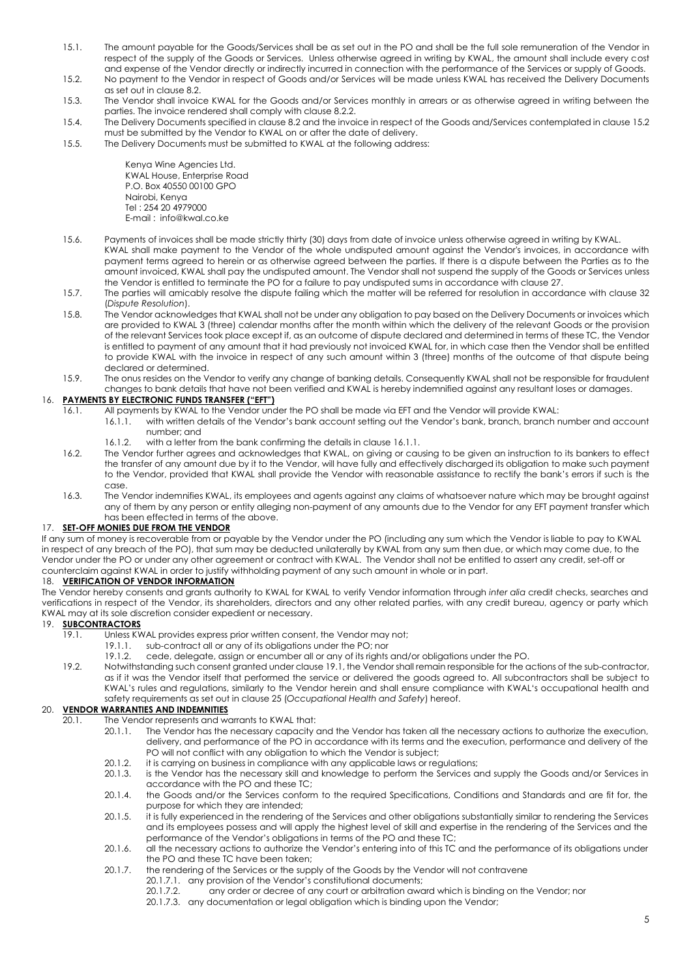- 15.1. The amount payable for the Goods/Services shall be as set out in the PO and shall be the full sole remuneration of the Vendor in respect of the supply of the Goods or Services. Unless otherwise agreed in writing by KWAL, the amount shall include every cost and expense of the Vendor directly or indirectly incurred in connection with the performance of the Services or supply of Goods.
- 15.2. No payment to the Vendor in respect of Goods and/or Services will be made unless KWAL has received the Delivery Documents as set out in claus[e 8.2.](#page-8-0)
- 15.3. The Vendor shall invoice KWAL for the Goods and/or Services monthly in arrears or as otherwise agreed in writing between the parties. The invoice rendered shall comply with claus[e 8.2.2.](#page-8-0)
- 15.4. The Delivery Documents specified in claus[e 8.2 a](#page-8-0)nd the invoice in respect of the Goods and/Services contemplated in clause 15.2 must be submitted by the Vendor to KWAL on or after the date of delivery.
- 15.5. The Delivery Documents must be submitted to KWAL at the following address:

Kenya Wine Agencies Ltd. KWAL House, Enterprise Road P.O. Box 40550 00100 GPO Nairobi, Kenya Tel : 254 20 4979000 E-mail : info@kwal.co.ke

- 15.6. Payments of invoices shall be made strictly thirty (30) days from date of invoice unless otherwise agreed in writing by KWAL. KWAL shall make payment to the Vendor of the whole undisputed amount against the Vendor's invoices, in accordance with payment terms agreed to herein or as otherwise agreed between the parties. If there is a dispute between the Parties as to the amount invoiced, KWAL shall pay the undisputed amount. The Vendor shall not suspend the supply of the Goods or Services unless the Vendor is entitled to terminate the PO for a failure to pay undisputed sums in accordance with clause 27.
- 15.7. The parties will amicably resolve the dispute failing which the matter will be referred for resolution in accordance with clause 32 (*Dispute Resolution*).
- 15.8. The Vendor acknowledges that KWAL shall not be under any obligation to pay based on the Delivery Documents or invoices which are provided to KWAL 3 (three) calendar months after the month within which the delivery of the relevant Goods or the provision of the relevant Services took place except if, as an outcome of dispute declared and determined in terms of these TC, the Vendor is entitled to payment of any amount that it had previously not invoiced KWAL for, in which case then the Vendor shall be entitled to provide KWAL with the invoice in respect of any such amount within 3 (three) months of the outcome of that dispute being declared or determined.
- 15.9. The onus resides on the Vendor to verify any change of banking details. Consequently KWAL shall not be responsible for fraudulent changes to bank details that have not been verified and KWAL is hereby indemnified against any resultant loses or damages.

# 16. **PAYMENTS BY ELECTRONIC FUNDS TRANSFER ("EFT")**

- All payments by KWAL to the Vendor under the PO shall be made via EFT and the Vendor will provide KWAL:<br>16.1.1. with written details of the Vendor's bank account setting out the Vendor's bank, branch, branch r
- with written details of the Vendor's bank account setting out the Vendor's bank, branch, branch number and account number; and
	- 16.1.2. with a letter from the bank confirming the details in clause 16.1.1.
- 16.2. The Vendor further agrees and acknowledges that KWAL, on giving or causing to be given an instruction to its bankers to effect the transfer of any amount due by it to the Vendor, will have fully and effectively discharged its obligation to make such payment to the Vendor, provided that KWAL shall provide the Vendor with reasonable assistance to rectify the bank's errors if such is the case.
- 16.3. The Vendor indemnifies KWAL, its employees and agents against any claims of whatsoever nature which may be brought against any of them by any person or entity alleging non-payment of any amounts due to the Vendor for any EFT payment transfer which has been effected in terms of the above.

#### 17. **SET-OFF MONIES DUE FROM THE VENDOR**

If any sum of money is recoverable from or payable by the Vendor under the PO (including any sum which the Vendor is liable to pay to KWAL in respect of any breach of the PO), that sum may be deducted unilaterally by KWAL from any sum then due, or which may come due, to the Vendor under the PO or under any other agreement or contract with KWAL. The Vendor shall not be entitled to assert any credit, set-off or counterclaim against KWAL in order to justify withholding payment of any such amount in whole or in part.

#### 18. **VERIFICATION OF VENDOR INFORMATION**

The Vendor hereby consents and grants authority to KWAL for KWAL to verify Vendor information through *inter alia* credit checks, searches and verifications in respect of the Vendor, its shareholders, directors and any other related parties, with any credit bureau, agency or party which KWAL may at its sole discretion consider expedient or necessary.

#### 19. **SUBCONTRACTORS**

- 19.1. Unless KWAL provides express prior written consent, the Vendor may not;
	- 19.1.1. sub-contract all or any of its obligations under the PO; nor 19.1.2. cede, delegate, assign or encumber all or any of its rights
		- 19.1.2. cede, delegate, assign or encumber all or any of its rights and/or obligations under the PO.
- 19.2. Notwithstanding such consent granted under clause 19.1, the Vendor shall remain responsible for the actions of the sub-contractor, as if it was the Vendor itself that performed the service or delivered the goods agreed to. All subcontractors shall be subject to KWAL's rules and regulations, similarly to the Vendor herein and shall ensure compliance with KWAL's occupational health and safety requirements as set out in clause 25 (*Occupational Health and Safety*) hereof.

#### 20. **VENDOR WARRANTIES AND INDEMNITIES**

- 20.1. The Vendor represents and warrants to KWAL that:
	- 20.1.1. The Vendor has the necessary capacity and the Vendor has taken all the necessary actions to authorize the execution, delivery, and performance of the PO in accordance with its terms and the execution, performance and delivery of the PO will not conflict with any obligation to which the Vendor is subject;
	- 20.1.2. it is carrying on business in compliance with any applicable laws or regulations;<br>20.1.3. is the Vendor has the necessary skill and knowledae to perform the Services a
	- is the Vendor has the necessary skill and knowledge to perform the Services and supply the Goods and/or Services in accordance with the PO and these TC;
	- 20.1.4. the Goods and/or the Services conform to the required Specifications, Conditions and Standards and are fit for, the purpose for which they are intended;
	- 20.1.5. it is fully experienced in the rendering of the Services and other obligations substantially similar to rendering the Services and its employees possess and will apply the highest level of skill and expertise in the rendering of the Services and the performance of the Vendor's obligations in terms of the PO and these TC;
	- 20.1.6. all the necessary actions to authorize the Vendor's entering into of this TC and the performance of its obligations under the PO and these TC have been taken;
	- 20.1.7. the rendering of the Services or the supply of the Goods by the Vendor will not contravene
		- 20.1.7.1. any provision of the Vendor's constitutional documents;
		- 20.1.7.2. any order or decree of any court or arbitration award which is binding on the Vendor; nor
		- 20.1.7.3. any documentation or legal obligation which is binding upon the Vendor;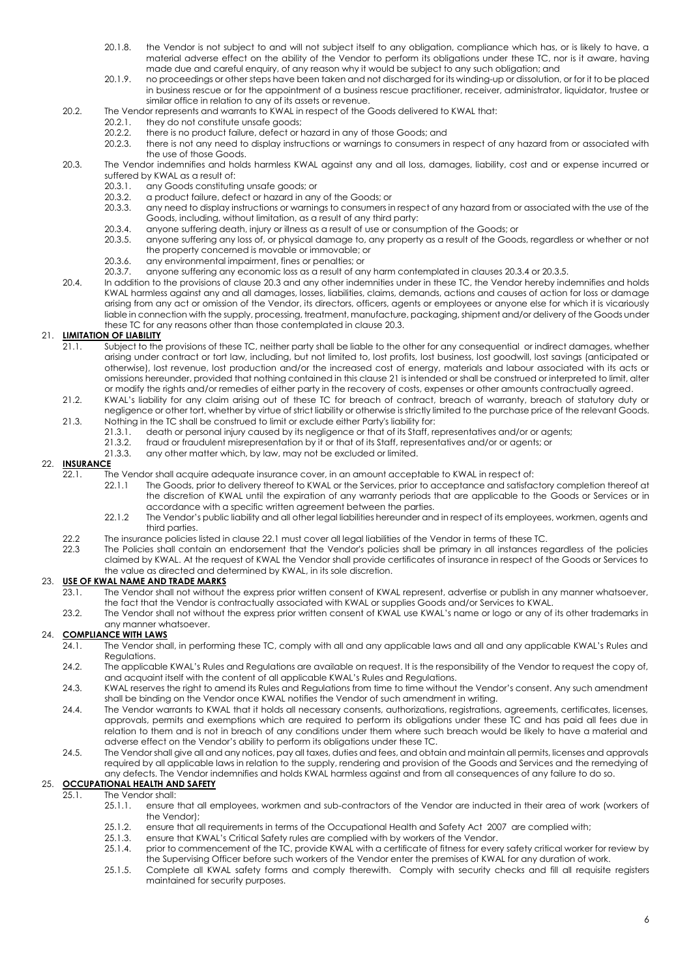- 20.1.8. the Vendor is not subject to and will not subject itself to any obligation, compliance which has, or is likely to have, a material adverse effect on the ability of the Vendor to perform its obligations under these TC, nor is it aware, having made due and careful enquiry, of any reason why it would be subject to any such obligation; and
- 20.1.9. no proceedings or other steps have been taken and not discharged for its winding-up or dissolution, or for it to be placed in business rescue or for the appointment of a business rescue practitioner, receiver, administrator, liquidator, trustee or similar office in relation to any of its assets or revenue.
- 20.2. The Vendor represents and warrants to KWAL in respect of the Goods delivered to KWAL that:<br>2021. they do not constitute unsafe goods:
	- 20.2.1. they do not constitute unsafe goods;<br>20.2.2. there is no product failure, defect or h
	-
	- 20.2.2. there is no product failure, defect or hazard in any of those Goods; and 20.2.3. there is not any need to display instructions or warnings to consumers in 20.2.3. there is not any need to display instructions or warnings to consumers in respect of any hazard from or associated with the use of those Goods.
- 20.3. The Vendor indemnifies and holds harmless KWAL against any and all loss, damages, liability, cost and or expense incurred or suffered by KWAL as a result of:<br>20.3.1. any Goods constituting
	- 20.3.1. any Goods constituting unsafe goods; or 20.3.2. a product failure, defect or hazard in any
	- 20.3.2. a product failure, defect or hazard in any of the Goods; or 20.3.3. any need to display instructions or warnings to consumers in
	- 20.3.3. any need to display instructions or warnings to consumers in respect of any hazard from or associated with the use of the Goods, including, without limitation, as a result of any third party:
	- 20.3.4. anyone suffering death, injury or illness as a result of use or consumption of the Goods; or<br>20.3.5 anyone suffering any loss of or physical damage to any property as a result of the Goods;
	- 20.3.5. anyone suffering any loss of, or physical damage to, any property as a result of the Goods, regardless or whether or not the property concerned is movable or immovable; or
	- 20.3.6. any environmental impairment, fines or penalties; or 20.3.7. anyone suffering any economic loss as a result of an
	- 20.3.7. anyone suffering any economic loss as a result of any harm contemplated in clauses 20.3.4 or 20.3.5.
- 20.4. In addition to the provisions of clause 20.3 and any other indemnities under in these TC, the Vendor hereby indemnifies and holds KWAL harmless against any and all damages, losses, liabilities, claims, demands, actions and causes of action for loss or damage arising from any act or omission of the Vendor, its directors, officers, agents or employees or anyone else for which it is vicariously liable in connection with the supply, processing, treatment, manufacture, packaging, shipment and/or delivery of the Goods under these TC for any reasons other than those contemplated in clause 20.3.

### 21. **LIMITATION OF LIABILITY**

- 21.1. Subject to the provisions of these TC, neither party shall be liable to the other for any consequential or indirect damages, whether arising under contract or tort law, including, but not limited to, lost profits, lost business, lost goodwill, lost savings (anticipated or otherwise), lost revenue, lost production and/or the increased cost of energy, materials and labour associated with its acts or omissions hereunder, provided that nothing contained in this clause 21 is intended or shall be construed or interpreted to limit, alter or modify the rights and/or remedies of either party in the recovery of costs, expenses or other amounts contractually agreed.
- 21.2. KWAL's liability for any claim arising out of these TC for breach of contract, breach of warranty, breach of statutory duty or negligence or other tort, whether by virtue of strict liability or otherwise is strictly limited to the purchase price of the relevant Goods.
- 21.3. Nothing in the TC shall be construed to limit or exclude either Party's liability for:
	- 21.3.1. death or personal injury caused by its negligence or that of its Staff, representatives and/or or agents;<br>21.3.2. fraud or fraudulent misrepresentation by it or that of its Staff, representatives and/or or agents;
	- 21.3.2. fraud or fraudulent misrepresentation by it or that of its Staff, representatives and/or or agents; or 21.3.3. any other matter which, by law, may not be excluded or limited.
		- any other matter which, by law, may not be excluded or limited.

# 22. **INSURANCE**

- 22.1. The Vendor shall acquire adequate insurance cover, in an amount acceptable to KWAL in respect of:
	- 22.1.1 The Goods, prior to delivery thereof to KWAL or the Services, prior to acceptance and satisfactory completion thereof at the discretion of KWAL until the expiration of any warranty periods that are applicable to the Goods or Services or in accordance with a specific written agreement between the parties.
	- 22.1.2 The Vendor's public liability and all other legal liabilities hereunder and in respect of its employees, workmen, agents and third parties.
- 22.2 The insurance policies listed in clause 22.1 must cover all legal liabilities of the Vendor in terms of these TC.
- 22.3 The Policies shall contain an endorsement that the Vendor's policies shall be primary in all instances regardless of the policies claimed by KWAL. At the request of KWAL the Vendor shall provide certificates of insurance in respect of the Goods or Services to the value as directed and determined by KWAL, in its sole discretion.

#### 23. **USE OF KWAL NAME AND TRADE MARKS**

- 23.1. The Vendor shall not without the express prior written consent of KWAL represent, advertise or publish in any manner whatsoever, the fact that the Vendor is contractually associated with KWAL or supplies Goods and/or Services to KWAL.
- 23.2. The Vendor shall not without the express prior written consent of KWAL use KWAL's name or logo or any of its other trademarks in any manner whatsoever.

#### 24. **COMPLIANCE WITH LAWS**

- 24.1. The Vendor shall, in performing these TC, comply with all and any applicable laws and all and any applicable KWAL's Rules and Regulations.
- 24.2. The applicable KWAL's Rules and Regulations are available on request. It is the responsibility of the Vendor to request the copy of, and acquaint itself with the content of all applicable KWAL's Rules and Regulations.
- 24.3. KWAL reserves the right to amend its Rules and Regulations from time to time without the Vendor's consent. Any such amendment shall be binding on the Vendor once KWAL notifies the Vendor of such amendment in writing.
- 24.4. The Vendor warrants to KWAL that it holds all necessary consents, authorizations, registrations, agreements, certificates, licenses, approvals, permits and exemptions which are required to perform its obligations under these TC and has paid all fees due in relation to them and is not in breach of any conditions under them where such breach would be likely to have a material and adverse effect on the Vendor's ability to perform its obligations under these TC.
- 24.5. The Vendor shall give all and any notices, pay all taxes, duties and fees, and obtain and maintain all permits, licenses and approvals required by all applicable laws in relation to the supply, rendering and provision of the Goods and Services and the remedying of any defects. The Vendor indemnifies and holds KWAL harmless against and from all consequences of any failure to do so.

#### 25. **OCCUPATIONAL HEALTH AND SAFETY**

- 25.1. The Vendor shall:<br>25.1.1. ensure
	- 25.1.1. ensure that all employees, workmen and sub-contractors of the Vendor are inducted in their area of work (workers of the Vendor);
	- 25.1.2. ensure that all requirements in terms of the Occupational Health and Safety Act 2007 are complied with;
	- 25.1.3. ensure that KWAL's Critical Safety rules are complied with by workers of the Vendor.<br>25.1.4. prior to commencement of the TC, provide KWAL with a certificate of fitness for ever
	- prior to commencement of the TC, provide KWAL with a certificate of fitness for every safety critical worker for review by the Supervising Officer before such workers of the Vendor enter the premises of KWAL for any duration of work.
	- 25.1.5. Complete all KWAL safety forms and comply therewith. Comply with security checks and fill all requisite registers maintained for security purposes.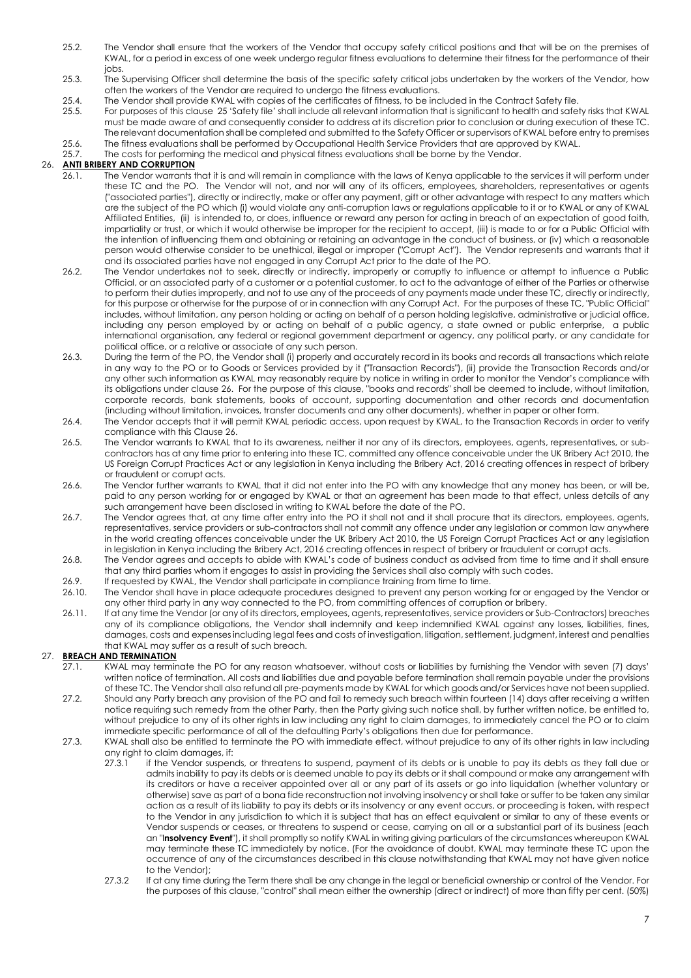- 25.2. The Vendor shall ensure that the workers of the Vendor that occupy safety critical positions and that will be on the premises of KWAL, for a period in excess of one week undergo regular fitness evaluations to determine their fitness for the performance of their jobs.
- 25.3. The Supervising Officer shall determine the basis of the specific safety critical jobs undertaken by the workers of the Vendor, how often the workers of the Vendor are required to undergo the fitness evaluations.
- 25.4. The Vendor shall provide KWAL with copies of the certificates of fitness, to be included in the Contract Safety file.<br>25.5. For purposes of this clause 25 'Safety file' shall include all relevant information that is
- 25.5. For purposes of this clause 25 'Safety file' shall include all relevant information that is significant to health and safety risks that KWAL must be made aware of and consequently consider to address at its discretion prior to conclusion or during execution of these TC. The relevant documentation shall be completed and submitted to the Safety Officer or supervisors of KWAL before entry to premises
- 25.6. The fitness evaluations shall be performed by Occupational Health Service Providers that are approved by KWAL.<br>25.7. The costs for performing the medical and physical fitness evaluations shall be borne by the Vendor The costs for performing the medical and physical fitness evaluations shall be borne by the Vendor.

### 26. **ANTI BRIBERY AND CORRUPTION**

- 26.1. The Vendor warrants that it is and will remain in compliance with the laws of Kenya applicable to the services it will perform under these TC and the PO. The Vendor will not, and nor will any of its officers, employees, shareholders, representatives or agents ("associated parties"), directly or indirectly, make or offer any payment, gift or other advantage with respect to any matters which are the subject of the PO which (i) would violate any anti-corruption laws or regulations applicable to it or to KWAL or any of KWAL Affiliated Entities, (ii) is intended to, or does, influence or reward any person for acting in breach of an expectation of good faith, impartiality or trust, or which it would otherwise be improper for the recipient to accept, (iii) is made to or for a Public Official with the intention of influencing them and obtaining or retaining an advantage in the conduct of business, or (iv) which a reasonable person would otherwise consider to be unethical, illegal or improper ("Corrupt Act"). The Vendor represents and warrants that it and its associated parties have not engaged in any Corrupt Act prior to the date of the PO.
- 26.2. The Vendor undertakes not to seek, directly or indirectly, improperly or corruptly to influence or attempt to influence a Public Official, or an associated party of a customer or a potential customer, to act to the advantage of either of the Parties or otherwise to perform their duties improperly, and not to use any of the proceeds of any payments made under these TC, directly or indirectly, for this purpose or otherwise for the purpose of or in connection with any Corrupt Act. For the purposes of these TC, "Public Official" includes, without limitation, any person holding or acting on behalf of a person holding legislative, administrative or judicial office, including any person employed by or acting on behalf of a public agency, a state owned or public enterprise, a public international organisation, any federal or regional government department or agency, any political party, or any candidate for political office, or a relative or associate of any such person.
- 26.3. During the term of the PO, the Vendor shall (i) properly and accurately record in its books and records all transactions which relate in any way to the PO or to Goods or Services provided by it ("Transaction Records"), (ii) provide the Transaction Records and/or any other such information as KWAL may reasonably require by notice in writing in order to monitor the Vendor's compliance with its obligations under clause 26. For the purpose of this clause, "books and records" shall be deemed to include, without limitation, corporate records, bank statements, books of account, supporting documentation and other records and documentation (including without limitation, invoices, transfer documents and any other documents), whether in paper or other form.
- 26.4. The Vendor accepts that it will permit KWAL periodic access, upon request by KWAL, to the Transaction Records in order to verify compliance with this Clause 26.
- 26.5. The Vendor warrants to KWAL that to its awareness, neither it nor any of its directors, employees, agents, representatives, or subcontractors has at any time prior to entering into these TC, committed any offence conceivable under the UK Bribery Act 2010, the US Foreign Corrupt Practices Act or any legislation in Kenya including the Bribery Act, 2016 creating offences in respect of bribery or fraudulent or corrupt acts.
- 26.6. The Vendor further warrants to KWAL that it did not enter into the PO with any knowledge that any money has been, or will be, paid to any person working for or engaged by KWAL or that an agreement has been made to that effect, unless details of any such arrangement have been disclosed in writing to KWAL before the date of the PO.
- 26.7. The Vendor agrees that, at any time after entry into the PO it shall not and it shall procure that its directors, employees, agents, representatives, service providers or sub-contractors shall not commit any offence under any legislation or common law anywhere in the world creating offences conceivable under the UK Bribery Act 2010, the US Foreign Corrupt Practices Act or any legislation in legislation in Kenya including the Bribery Act, 2016 creating offences in respect of bribery or fraudulent or corrupt acts.
- 26.8. The Vendor agrees and accepts to abide with KWAL's code of business conduct as advised from time to time and it shall ensure that any third parties whom it engages to assist in providing the Services shall also comply with such codes.
- 26.9. If requested by KWAL, the Vendor shall participate in compliance training from time to time.
- 26.10. The Vendor shall have in place adequate procedures designed to prevent any person working for or engaged by the Vendor or any other third party in any way connected to the PO, from committing offences of corruption or bribery.
- 26.11. If at any time the Vendor (or any of its directors, employees, agents, representatives, service providers or Sub-Contractors) breaches any of its compliance obligations, the Vendor shall indemnify and keep indemnified KWAL against any losses, liabilities, fines, damages, costs and expenses including legal fees and costs of investigation, litigation, settlement, judgment, interest and penalties that KWAL may suffer as a result of such breach.

# 27. **BREACH AND TERMINATION**

- 27.1. KWAL may terminate the PO for any reason whatsoever, without costs or liabilities by furnishing the Vendor with seven (7) days' written notice of termination. All costs and liabilities due and payable before termination shall remain payable under the provisions of these TC. The Vendor shall also refund all pre-payments made by KWAL for which goods and/or Services have not been supplied.
- 27.2. Should any Party breach any provision of the PO and fail to remedy such breach within fourteen (14) days after receiving a written notice requiring such remedy from the other Party, then the Party giving such notice shall, by further written notice, be entitled to, without prejudice to any of its other rights in law including any right to claim damages, to immediately cancel the PO or to claim immediate specific performance of all of the defaulting Party's obligations then due for performance.
- 27.3. KWAL shall also be entitled to terminate the PO with immediate effect, without prejudice to any of its other rights in law including any right to claim damages, if:
	- 27.3.1 if the Vendor suspends, or threatens to suspend, payment of its debts or is unable to pay its debts as they fall due or admits inability to pay its debts or is deemed unable to pay its debts or it shall compound or make any arrangement with its creditors or have a receiver appointed over all or any part of its assets or go into liquidation (whether voluntary or otherwise) save as part of a bona fide reconstruction not involving insolvency or shall take or suffer to be taken any similar action as a result of its liability to pay its debts or its insolvency or any event occurs, or proceeding is taken, with respect to the Vendor in any jurisdiction to which it is subject that has an effect equivalent or similar to any of these events or Vendor suspends or ceases, or threatens to suspend or cease, carrying on all or a substantial part of its business (each an "I**nsolvency Event**"), it shall promptly so notify KWAL in writing giving particulars of the circumstances whereupon KWAL may terminate these TC immediately by notice. (For the avoidance of doubt, KWAL may terminate these TC upon the occurrence of any of the circumstances described in this clause notwithstanding that KWAL may not have given notice to the Vendor);
	- 27.3.2 If at any time during the Term there shall be any change in the legal or beneficial ownership or control of the Vendor. For the purposes of this clause, "control" shall mean either the ownership (direct or indirect) of more than fifty per cent. (50%)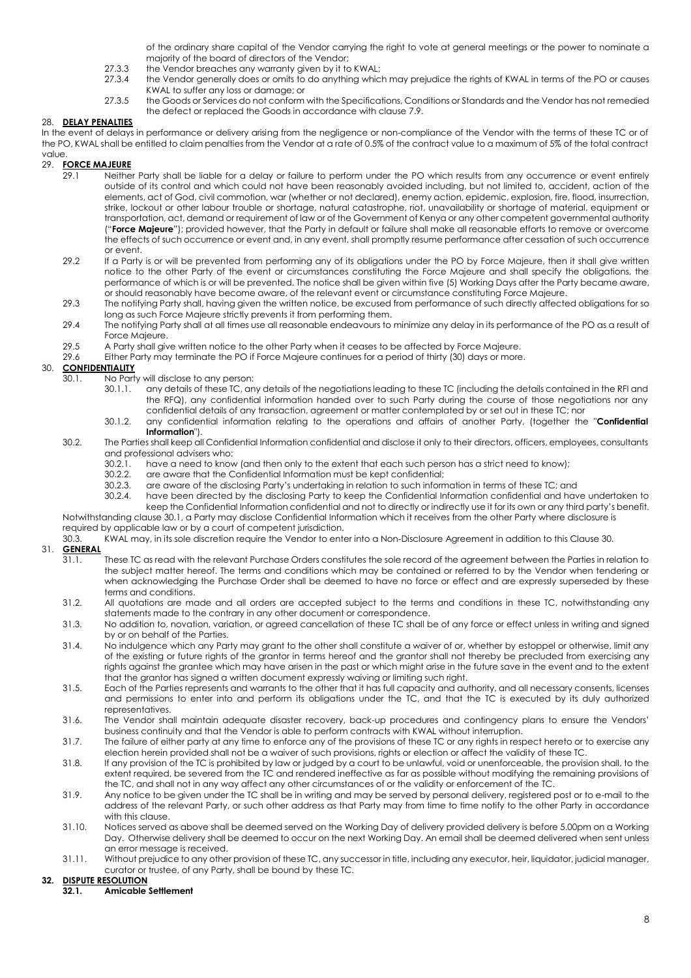of the ordinary share capital of the Vendor carrying the right to vote at general meetings or the power to nominate a majority of the board of directors of the Vendor;

- 27.3.3 the Vendor breaches any warranty given by it to KWAL;
- 27.3.4 the Vendor generally does or omits to do anything which may prejudice the rights of KWAL in terms of the PO or causes KWAL to suffer any loss or damage; or
- 27.3.5 the Goods or Services do not conform with the Specifications, Conditions or Standards and the Vendor has not remedied the defect or replaced the Goods in accordance with claus[e 7.9.](#page-8-0)

# 28. **DELAY PENALTIES**

In the event of delays in performance or delivery arising from the negligence or non-compliance of the Vendor with the terms of these TC or of the PO, KWAL shall be entitled to claim penalties from the Vendor at a rate of 0.5% of the contract value to a maximum of 5% of the total contract value.

# 29. **FORCE MAJEURE**<br>29.1 Neithe

- Neither Party shall be liable for a delay or failure to perform under the PO which results from any occurrence or event entirely outside of its control and which could not have been reasonably avoided including, but not limited to, accident, action of the elements, act of God, civil commotion, war (whether or not declared), enemy action, epidemic, explosion, fire, flood, insurrection, strike, lockout or other labour trouble or shortage, natural catastrophe, riot, unavailability or shortage of material, equipment or transportation, act, demand or requirement of law or of the Government of Kenya or any other competent governmental authority ("**Force Majeure**"); provided however, that the Party in default or failure shall make all reasonable efforts to remove or overcome the effects of such occurrence or event and, in any event, shall promptly resume performance after cessation of such occurrence or event.
- 29.2 If a Party is or will be prevented from performing any of its obligations under the PO by Force Majeure, then it shall give written notice to the other Party of the event or circumstances constituting the Force Majeure and shall specify the obligations, the performance of which is or will be prevented. The notice shall be given within five (5) Working Days after the Party became aware, or should reasonably have become aware, of the relevant event or circumstance constituting Force Majeure.
- 29.3 The notifying Party shall, having given the written notice, be excused from performance of such directly affected obligations for so long as such Force Majeure strictly prevents it from performing them.
- 29.4 The notifying Party shall at all times use all reasonable endeavours to minimize any delay in its performance of the PO as a result of Force Majeure.
- 29.5 A Party shall give written notice to the other Party when it ceases to be affected by Force Majeure.
- 29.6 Either Party may terminate the PO if Force Majeure continues for a period of thirty (30) days or more.

# 30. **CONFIDENTIALITY**

- 30.1. No Party will disclose to any person:
	- 30.1.1. any details of these TC, any details of the negotiations leading to these TC (including the details contained in the RFI and the RFQ), any confidential information handed over to such Party during the course of those negotiations nor any confidential details of any transaction, agreement or matter contemplated by or set out in these TC; nor
	- 30.1.2. any confidential information relating to the operations and affairs of another Party, (together the "**Confidential Information**").

#### 30.2. The Parties shall keep all Confidential Information confidential and disclose it only to their directors, officers, employees, consultants and professional advisers who:

- 30.2.1. have a need to know (and then only to the extent that each such person has a strict need to know);
- 
- 30.2.2. are aware that the Confidential Information must be kept confidential;<br>30.2.3. are aware of the disclosing Party's undertaking in relation to such inform
- 30.2.3. are aware of the disclosing Party's undertaking in relation to such information in terms of these TC; and<br>30.2.4. have been directed by the disclosing Party to keep the Confidential Information confidential and hav have been directed by the disclosing Party to keep the Confidential Information confidential and have undertaken to keep the Confidential Information confidential and not to directly or indirectly use it for its own or any third party's benefit.

Notwithstanding clause 30.1, a Party may disclose Confidential Information which it receives from the other Party where disclosure is required by applicable law or by a court of competent jurisdiction.<br>30.3. KWAL may, in its sole discretion require the Vendor to enter 30.3. KWAL may, in its sole discretion require the Vendor to enter into a Non-Disclosure Agreement in addition to this Clause 30.

## 31. **GENERAL**

- 31.1. These TC as read with the relevant Purchase Orders constitutes the sole record of the agreement between the Parties in relation to the subject matter hereof. The terms and conditions which may be contained or referred to by the Vendor when tendering or when acknowledging the Purchase Order shall be deemed to have no force or effect and are expressly superseded by these terms and conditions.
- 31.2. All quotations are made and all orders are accepted subject to the terms and conditions in these TC, notwithstanding any statements made to the contrary in any other document or correspondence.
- 31.3. No addition to, novation, variation, or agreed cancellation of these TC shall be of any force or effect unless in writing and signed by or on behalf of the Parties.
- 31.4. No indulgence which any Party may grant to the other shall constitute a waiver of or, whether by estoppel or otherwise, limit any of the existing or future rights of the grantor in terms hereof and the grantor shall not thereby be precluded from exercising any rights against the grantee which may have arisen in the past or which might arise in the future save in the event and to the extent that the grantor has signed a written document expressly waiving or limiting such right.
- 31.5. Each of the Parties represents and warrants to the other that it has full capacity and authority, and all necessary consents, licenses and permissions to enter into and perform its obligations under the TC, and that the TC is executed by its duly authorized representatives.
- 31.6. The Vendor shall maintain adequate disaster recovery, back-up procedures and contingency plans to ensure the Vendors' business continuity and that the Vendor is able to perform contracts with KWAL without interruption.
- 31.7. The failure of either party at any time to enforce any of the provisions of these TC or any rights in respect hereto or to exercise any election herein provided shall not be a waiver of such provisions, rights or election or affect the validity of these TC.
- 31.8. If any provision of the TC is prohibited by law or judged by a court to be unlawful, void or unenforceable, the provision shall, to the extent required, be severed from the TC and rendered ineffective as far as possible without modifying the remaining provisions of the TC, and shall not in any way affect any other circumstances of or the validity or enforcement of the TC.
- 31.9. Any notice to be given under the TC shall be in writing and may be served by personal delivery, registered post or to e-mail to the address of the relevant Party, or such other address as that Party may from time to time notify to the other Party in accordance with this clause.
- 31.10. Notices served as above shall be deemed served on the Working Day of delivery provided delivery is before 5.00pm on a Working Day. Otherwise delivery shall be deemed to occur on the next Working Day. An email shall be deemed delivered when sent unless an error message is received.
- 31.11. Without prejudice to any other provision of these TC, any successor in title, including any executor, heir, liquidator, judicial manager, curator or trustee, of any Party, shall be bound by these TC.

#### **32. DISPUTE RESOLUTION**

**32.1. Amicable Settlement**